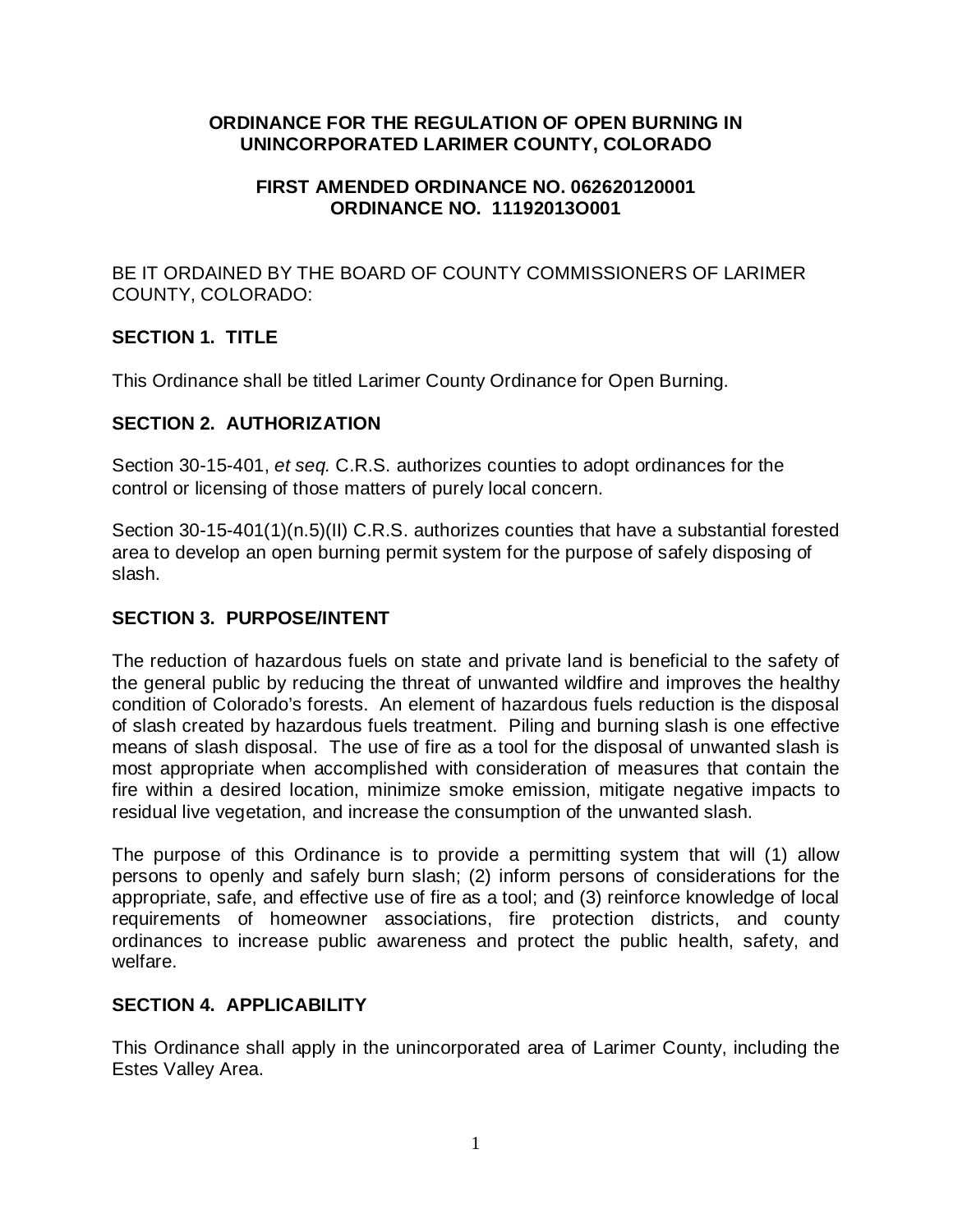#### **ORDINANCE FOR THE REGULATION OF OPEN BURNING IN UNINCORPORATED LARIMER COUNTY, COLORADO**

#### **FIRST AMENDED ORDINANCE NO. 062620120001 ORDINANCE NO. 11192013O001**

BE IT ORDAINED BY THE BOARD OF COUNTY COMMISSIONERS OF LARIMER COUNTY, COLORADO:

### **SECTION 1. TITLE**

This Ordinance shall be titled Larimer County Ordinance for Open Burning.

### **SECTION 2. AUTHORIZATION**

Section 30-15-401, *et seq.* C.R.S. authorizes counties to adopt ordinances for the control or licensing of those matters of purely local concern.

Section 30-15-401(1)(n.5)(II) C.R.S. authorizes counties that have a substantial forested area to develop an open burning permit system for the purpose of safely disposing of slash.

## **SECTION 3. PURPOSE/INTENT**

 The reduction of hazardous fuels on state and private land is beneficial to the safety of the general public by reducing the threat of unwanted wildfire and improves the healthy condition of Colorado's forests. An element of hazardous fuels reduction is the disposal means of slash disposal. The use of fire as a tool for the disposal of unwanted slash is of slash created by hazardous fuels treatment. Piling and burning slash is one effective most appropriate when accomplished with consideration of measures that contain the fire within a desired location, minimize smoke emission, mitigate negative impacts to residual live vegetation, and increase the consumption of the unwanted slash.

 The purpose of this Ordinance is to provide a permitting system that will (1) allow persons to openly and safely burn slash; (2) inform persons of considerations for the appropriate, safe, and effective use of fire as a tool; and (3) reinforce knowledge of local ordinances to increase public awareness and protect the public health, safety, and welfare. requirements of homeowner associations, fire protection districts, and county

#### **SECTION 4. APPLICABILITY**

This Ordinance shall apply in the unincorporated area of Larimer County, including the Estes Valley Area.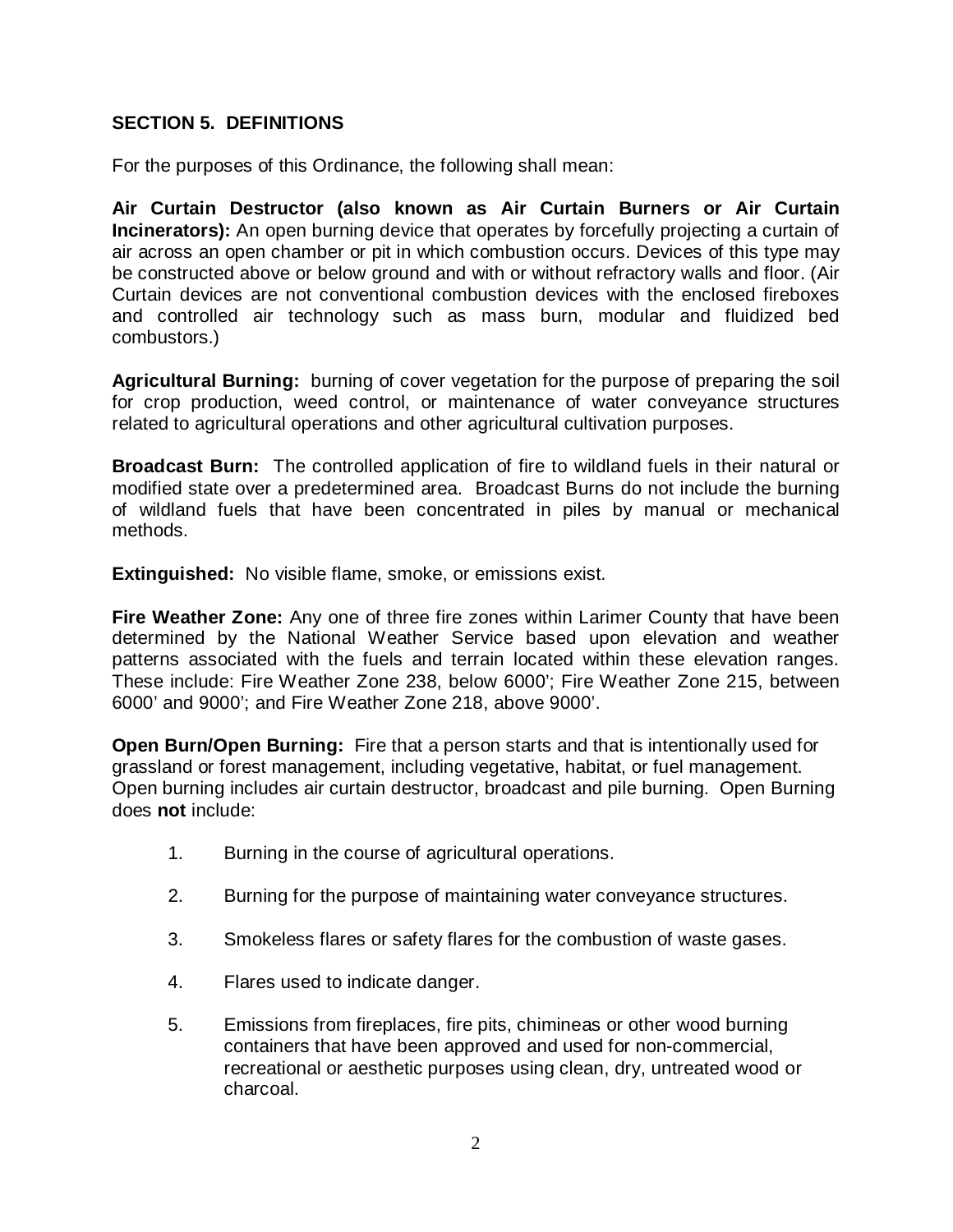## **SECTION 5. DEFINITIONS**

For the purposes of this Ordinance, the following shall mean:

 **Incinerators):** An open burning device that operates by forcefully projecting a curtain of air across an open chamber or pit in which combustion occurs. Devices of this type may be constructed above or below ground and with or without refractory walls and floor. (Air Curtain devices are not conventional combustion devices with the enclosed fireboxes **Air Curtain Destructor (also known as Air Curtain Burners or Air Curtain**  and controlled air technology such as mass burn, modular and fluidized bed combustors.)

 **Agricultural Burning:** burning of cover vegetation for the purpose of preparing the soil for crop production, weed control, or maintenance of water conveyance structures related to agricultural operations and other agricultural cultivation purposes.

 **Broadcast Burn:** The controlled application of fire to wildland fuels in their natural or modified state over a predetermined area. Broadcast Burns do not include the burning of wildland fuels that have been concentrated in piles by manual or mechanical methods.

**Extinguished:** No visible flame, smoke, or emissions exist.

 **Fire Weather Zone:** Any one of three fire zones within Larimer County that have been determined by the National Weather Service based upon elevation and weather These include: Fire Weather Zone 238, below 6000'; Fire Weather Zone 215, between 6000' and 9000'; and Fire Weather Zone 218, above 9000'. patterns associated with the fuels and terrain located within these elevation ranges.

 **Open Burn/Open Burning:** Fire that a person starts and that is intentionally used for grassland or forest management, including vegetative, habitat, or fuel management. does **not** include: Open burning includes air curtain destructor, broadcast and pile burning. Open Burning

- 1. Burning in the course of agricultural operations.
- 2. Burning for the purpose of maintaining water conveyance structures.
- 3. Smokeless flares or safety flares for the combustion of waste gases.
- 4. Flares used to indicate danger.
- 5. Emissions from fireplaces, fire pits, chimineas or other wood burning containers that have been approved and used for non-commercial, recreational or aesthetic purposes using clean, dry, untreated wood or charcoal.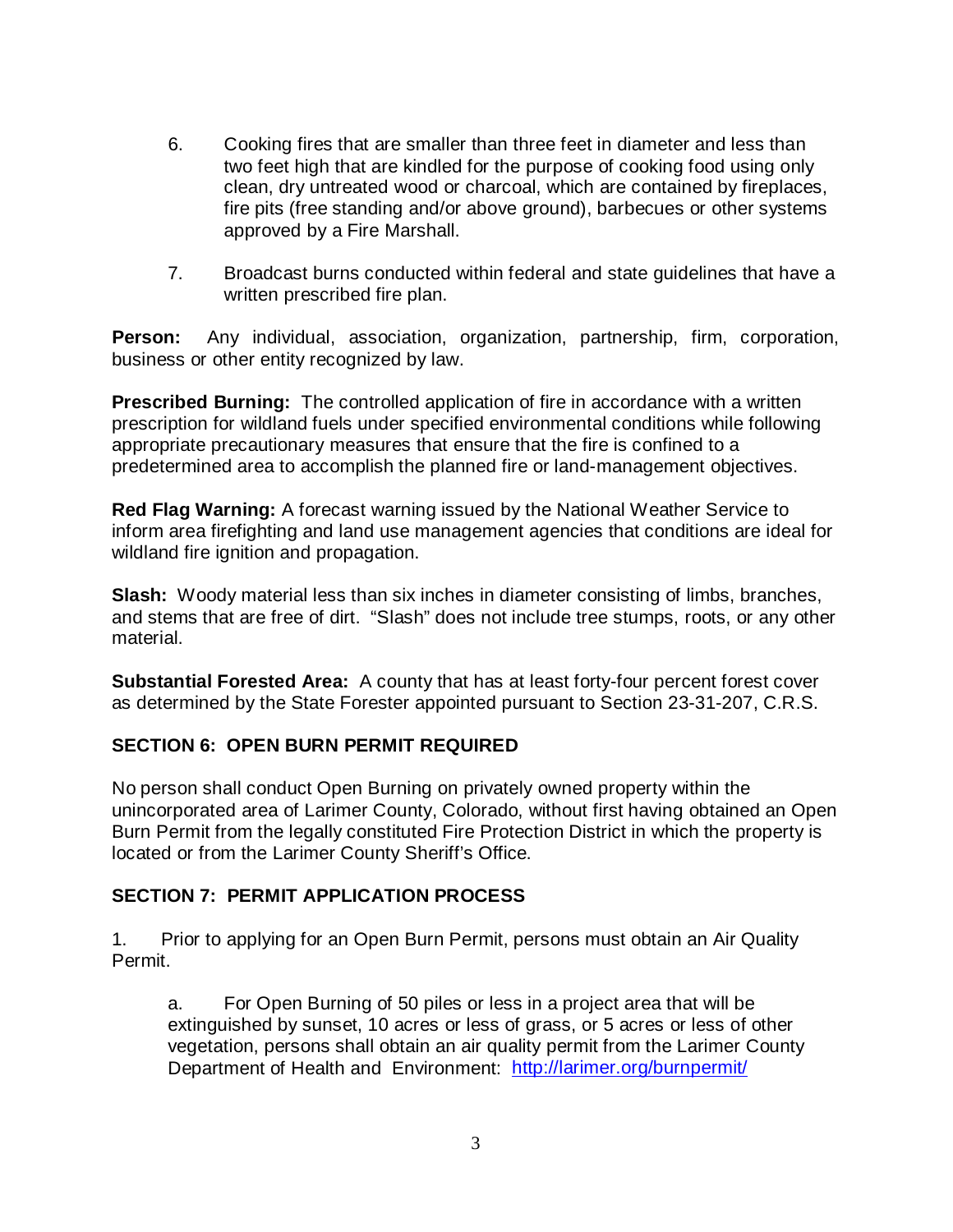- 6. Cooking fires that are smaller than three feet in diameter and less than two feet high that are kindled for the purpose of cooking food using only clean, dry untreated wood or charcoal, which are contained by fireplaces, fire pits (free standing and/or above ground), barbecues or other systems approved by a Fire Marshall.
- 7. Broadcast burns conducted within federal and state guidelines that have a written prescribed fire plan.

Person: **Person:** Any individual, association, organization, partnership, firm, corporation, business or other entity recognized by law.

 **Prescribed Burning:** The controlled application of fire in accordance with a written prescription for wildland fuels under specified environmental conditions while following appropriate precautionary measures that ensure that the fire is confined to a predetermined area to accomplish the planned fire or land-management objectives.

 **Red Flag Warning:** A forecast warning issued by the National Weather Service to inform area firefighting and land use management agencies that conditions are ideal for wildland fire ignition and propagation.

 **Slash:** Woody material less than six inches in diameter consisting of limbs, branches, and stems that are free of dirt. "Slash" does not include tree stumps, roots, or any other material.

 **Substantial Forested Area:** A county that has at least forty-four percent forest cover as determined by the State Forester appointed pursuant to Section 23-31-207, C.R.S.

## **SECTION 6: OPEN BURN PERMIT REQUIRED**

 No person shall conduct Open Burning on privately owned property within the located or from the Larimer County Sheriff's Office. unincorporated area of Larimer County, Colorado, without first having obtained an Open Burn Permit from the legally constituted Fire Protection District in which the property is

#### **SECTION 7: PERMIT APPLICATION PROCESS**

1. Prior to applying for an Open Burn Permit, persons must obtain an Air Quality Permit.

 extinguished by sunset, 10 acres or less of grass, or 5 acres or less of other Department of Health and Environment: http://larimer.org/burnpermit/ a. For Open Burning of 50 piles or less in a project area that will be vegetation, persons shall obtain an air quality permit from the Larimer County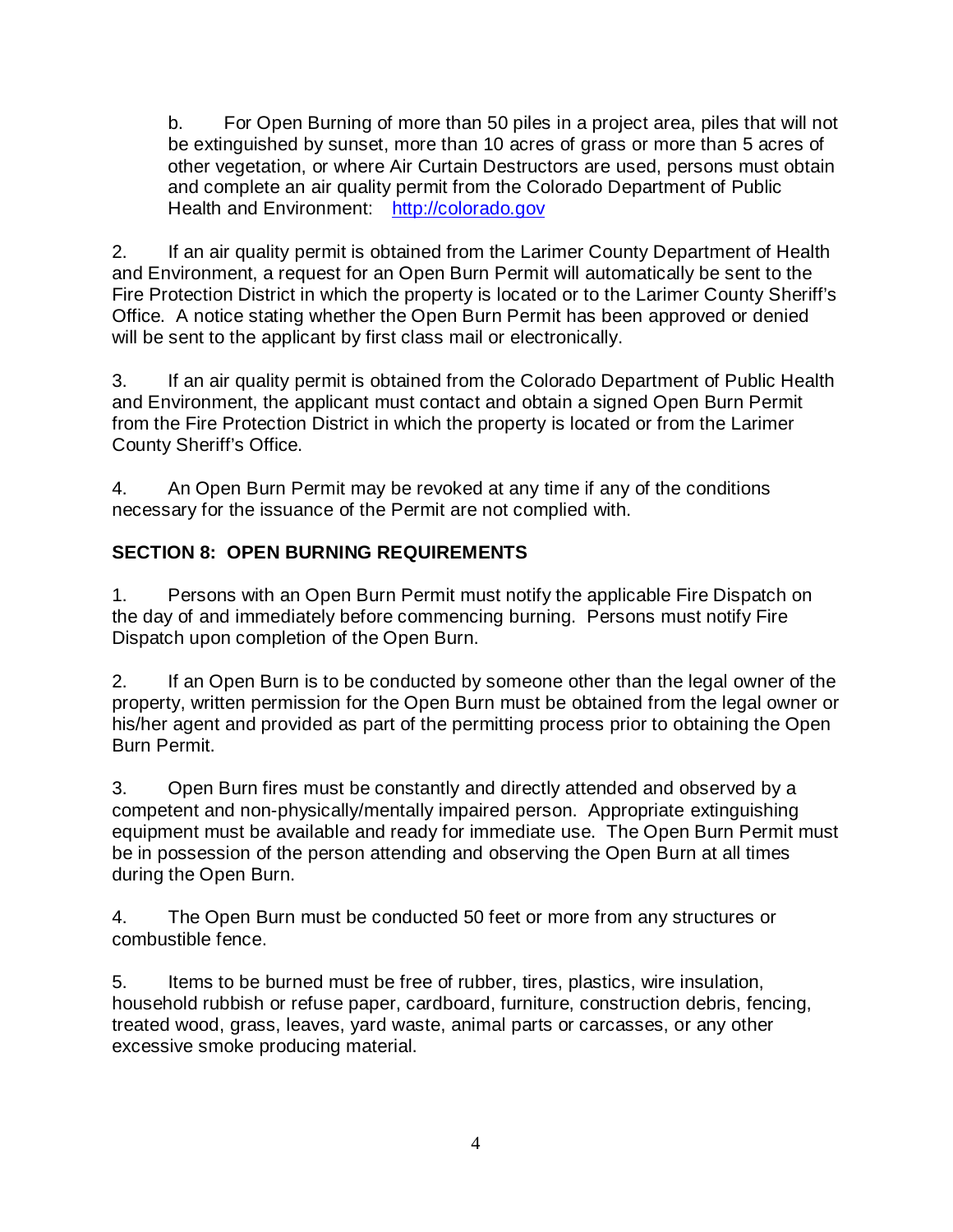be extinguished by sunset, more than 10 acres of grass or more than 5 acres of other vegetation, or where Air Curtain Destructors are used, persons must obtain and complete an air quality permit from the Colorado Department of Public Health and Environment: http://colorado.gov b. For Open Burning of more than 50 piles in a project area, piles that will not

 2. If an air quality permit is obtained from the Larimer County Department of Health Fire Protection District in which the property is located or to the Larimer County Sheriff's will be sent to the applicant by first class mail or electronically. and Environment, a request for an Open Burn Permit will automatically be sent to the Office. A notice stating whether the Open Burn Permit has been approved or denied

 3. If an air quality permit is obtained from the Colorado Department of Public Health and Environment, the applicant must contact and obtain a signed Open Burn Permit from the Fire Protection District in which the property is located or from the Larimer County Sheriff's Office.

4. An Open Burn Permit may be revoked at any time if any of the conditions necessary for the issuance of the Permit are not complied with.

# **SECTION 8: OPEN BURNING REQUIREMENTS**

 the day of and immediately before commencing burning. Persons must notify Fire 1. Persons with an Open Burn Permit must notify the applicable Fire Dispatch on Dispatch upon completion of the Open Burn.

 2. If an Open Burn is to be conducted by someone other than the legal owner of the his/her agent and provided as part of the permitting process prior to obtaining the Open property, written permission for the Open Burn must be obtained from the legal owner or Burn Permit.

 3. Open Burn fires must be constantly and directly attended and observed by a competent and non-physically/mentally impaired person. Appropriate extinguishing equipment must be available and ready for immediate use. The Open Burn Permit must be in possession of the person attending and observing the Open Burn at all times during the Open Burn.

4. The Open Burn must be conducted 50 feet or more from any structures or combustible fence.

 5. Items to be burned must be free of rubber, tires, plastics, wire insulation, household rubbish or refuse paper, cardboard, furniture, construction debris, fencing, treated wood, grass, leaves, yard waste, animal parts or carcasses, or any other excessive smoke producing material.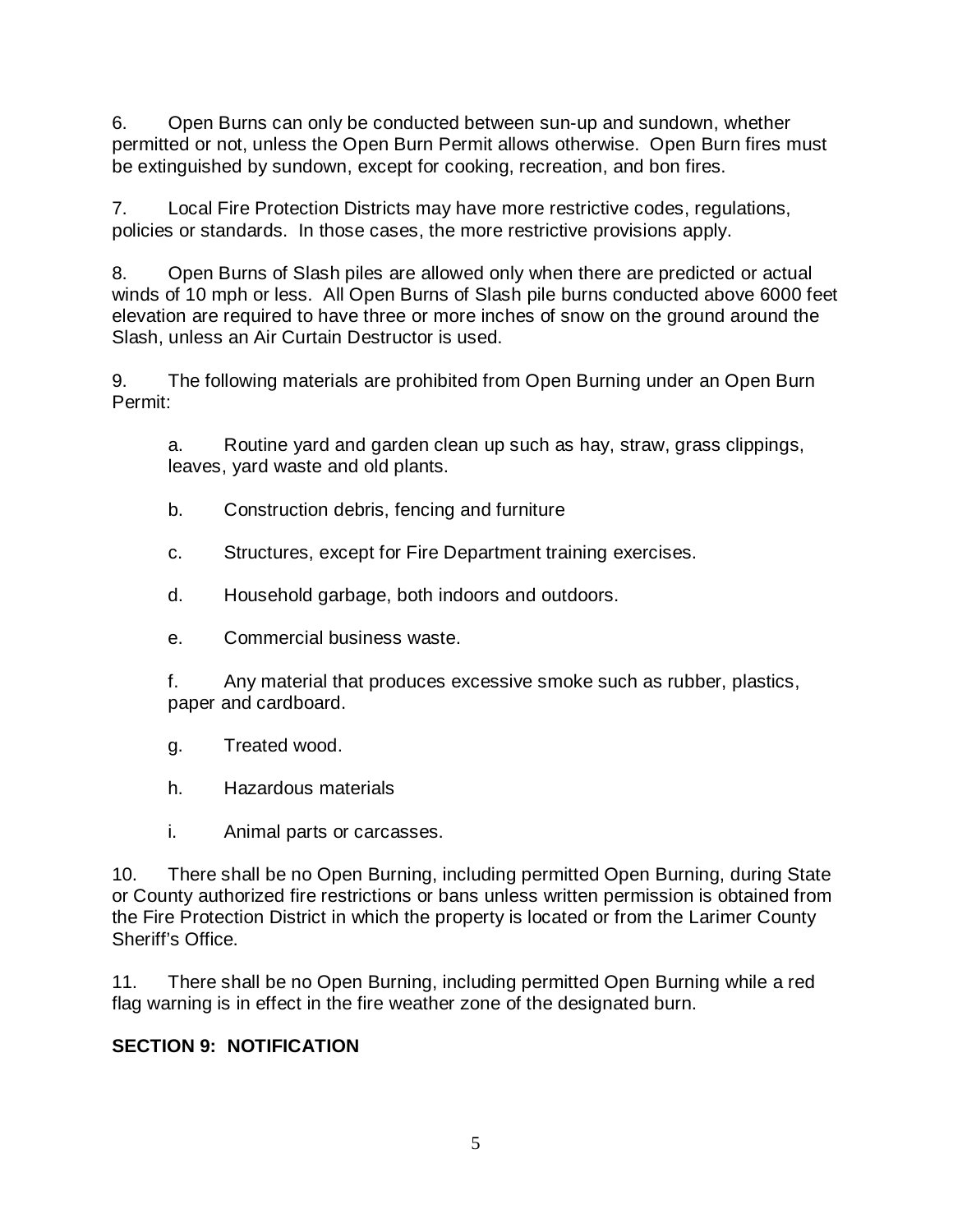permitted or not, unless the Open Burn Permit allows otherwise. Open Burn fires must 6. Open Burns can only be conducted between sun-up and sundown, whether be extinguished by sundown, except for cooking, recreation, and bon fires.

 7. Local Fire Protection Districts may have more restrictive codes, regulations, policies or standards. In those cases, the more restrictive provisions apply.

 8. Open Burns of Slash piles are allowed only when there are predicted or actual winds of 10 mph or less. All Open Burns of Slash pile burns conducted above 6000 feet elevation are required to have three or more inches of snow on the ground around the Slash, unless an Air Curtain Destructor is used.

9. The following materials are prohibited from Open Burning under an Open Burn Permit:

a. Routine yard and garden clean up such as hay, straw, grass clippings, leaves, yard waste and old plants.

- b. Construction debris, fencing and furniture
- c. Structures, except for Fire Department training exercises.
- d. Household garbage, both indoors and outdoors.
- e. Commercial business waste.
- f. Any material that produces excessive smoke such as rubber, plastics, paper and cardboard.
- g. Treated wood.
- h. Hazardous materials
- i. Animal parts or carcasses.

 10. There shall be no Open Burning, including permitted Open Burning, during State or County authorized fire restrictions or bans unless written permission is obtained from the Fire Protection District in which the property is located or from the Larimer County Sheriff's Office.

 11. There shall be no Open Burning, including permitted Open Burning while a red flag warning is in effect in the fire weather zone of the designated burn.

# **SECTION 9: NOTIFICATION**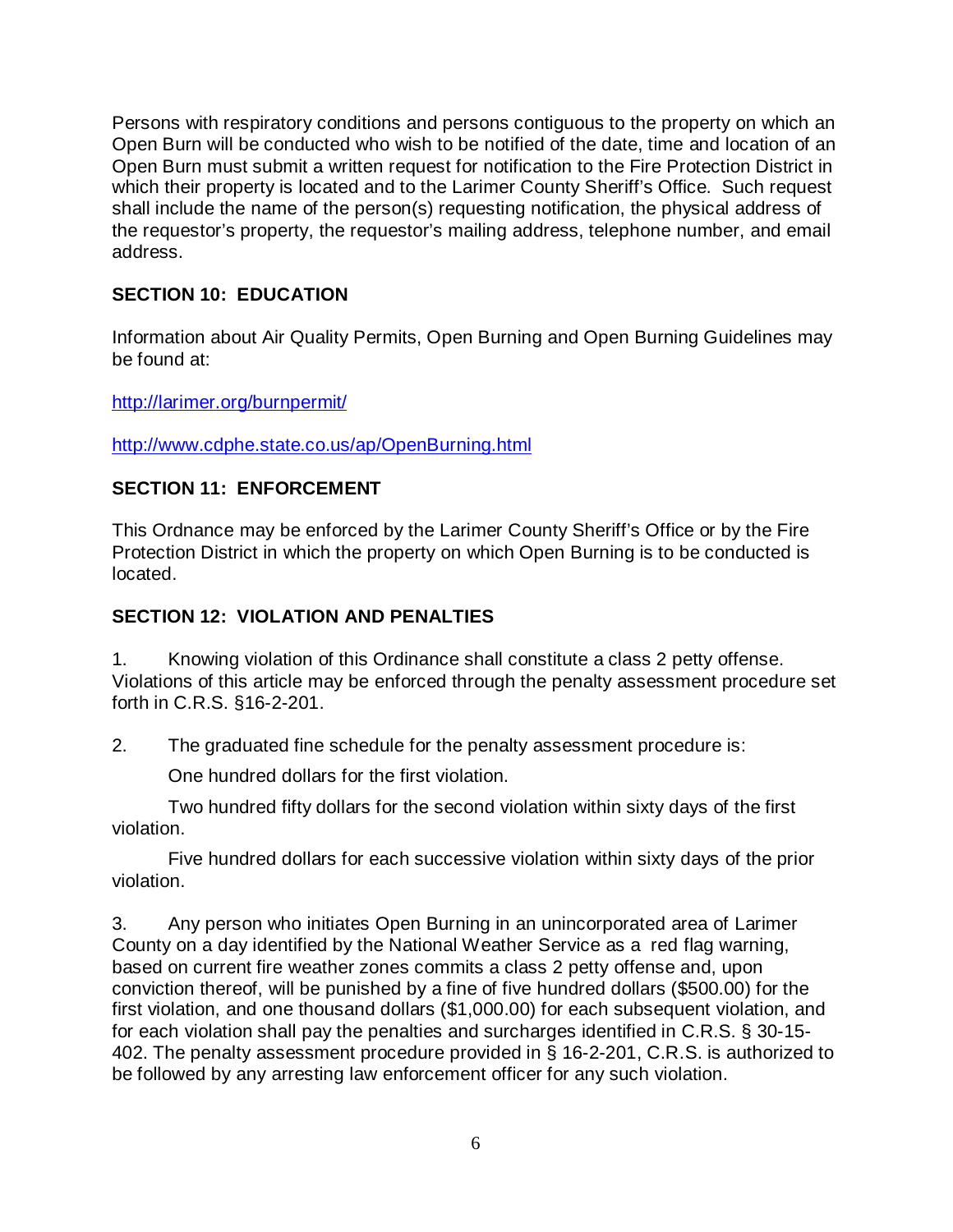Persons with respiratory conditions and persons contiguous to the property on which an Open Burn will be conducted who wish to be notified of the date, time and location of an which their property is located and to the Larimer County Sheriff's Office. Such request shall include the name of the person(s) requesting notification, the physical address of Open Burn must submit a written request for notification to the Fire Protection District in the requestor's property, the requestor's mailing address, telephone number, and email address.

## **SECTION 10: EDUCATION**

 Information about Air Quality Permits, Open Burning and Open Burning Guidelines may be found at:

<http://larimer.org/burnpermit/>

<http://www.cdphe.state.co.us/ap/OpenBurning.html>

## **SECTION 11: ENFORCEMENT**

 Protection District in which the property on which Open Burning is to be conducted is This Ordnance may be enforced by the Larimer County Sheriff's Office or by the Fire located.

## **SECTION 12: VIOLATION AND PENALTIES**

 1. Knowing violation of this Ordinance shall constitute a class 2 petty offense. Violations of this article may be enforced through the penalty assessment procedure set forth in C.R.S. §16-2-201.

2. The graduated fine schedule for the penalty assessment procedure is:

One hundred dollars for the first violation.

 Two hundred fifty dollars for the second violation within sixty days of the first violation.

 Five hundred dollars for each successive violation within sixty days of the prior violation.

 County on a day identified by the National Weather Service as a red flag warning, based on current fire weather zones commits a class 2 petty offense and, upon conviction thereof, will be punished by a fine of five hundred dollars (\$500.00) for the first violation, and one thousand dollars (\$[1,000.00\)](https://1,000.00) for each subsequent violation, and be followed by any arresting law enforcement officer for any such violation. 3. Any person who initiates Open Burning in an unincorporated area of Larimer for each violation shall pay the penalties and surcharges identified in C.R.S. § 30-15- 402. The penalty assessment procedure provided in § 16-2-201, C.R.S. is authorized to